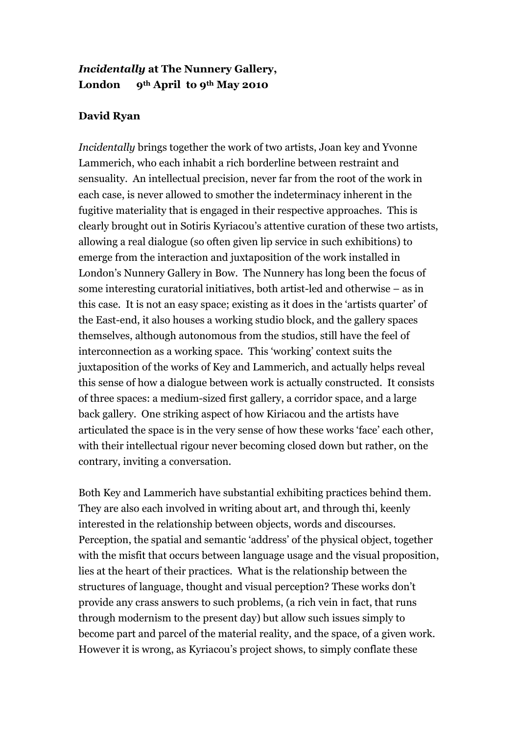## *Incidentally* **at The Nunnery Gallery, London 9th April to 9th May 2010**

## **David Ryan**

*Incidentally* brings together the work of two artists, Joan key and Yvonne Lammerich, who each inhabit a rich borderline between restraint and sensuality. An intellectual precision, never far from the root of the work in each case, is never allowed to smother the indeterminacy inherent in the fugitive materiality that is engaged in their respective approaches. This is clearly brought out in Sotiris Kyriacou's attentive curation of these two artists, allowing a real dialogue (so often given lip service in such exhibitions) to emerge from the interaction and juxtaposition of the work installed in London's Nunnery Gallery in Bow. The Nunnery has long been the focus of some interesting curatorial initiatives, both artist-led and otherwise – as in this case. It is not an easy space; existing as it does in the 'artists quarter' of the East-end, it also houses a working studio block, and the gallery spaces themselves, although autonomous from the studios, still have the feel of interconnection as a working space. This 'working' context suits the juxtaposition of the works of Key and Lammerich, and actually helps reveal this sense of how a dialogue between work is actually constructed. It consists of three spaces: a medium-sized first gallery, a corridor space, and a large back gallery. One striking aspect of how Kiriacou and the artists have articulated the space is in the very sense of how these works 'face' each other, with their intellectual rigour never becoming closed down but rather, on the contrary, inviting a conversation.

Both Key and Lammerich have substantial exhibiting practices behind them. They are also each involved in writing about art, and through thi, keenly interested in the relationship between objects, words and discourses. Perception, the spatial and semantic 'address' of the physical object, together with the misfit that occurs between language usage and the visual proposition, lies at the heart of their practices. What is the relationship between the structures of language, thought and visual perception? These works don't provide any crass answers to such problems, (a rich vein in fact, that runs through modernism to the present day) but allow such issues simply to become part and parcel of the material reality, and the space, of a given work. However it is wrong, as Kyriacou's project shows, to simply conflate these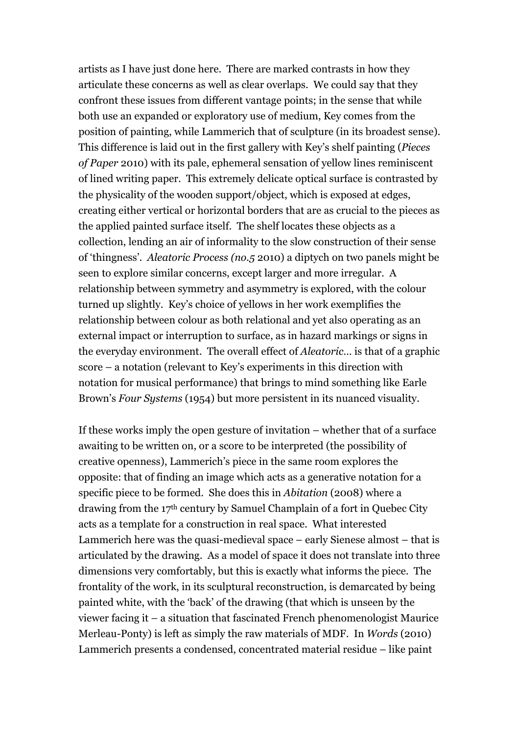artists as I have just done here. There are marked contrasts in how they articulate these concerns as well as clear overlaps. We could say that they confront these issues from different vantage points; in the sense that while both use an expanded or exploratory use of medium, Key comes from the position of painting, while Lammerich that of sculpture (in its broadest sense). This difference is laid out in the first gallery with Key's shelf painting (*Pieces of Paper* 2010) with its pale, ephemeral sensation of yellow lines reminiscent of lined writing paper. This extremely delicate optical surface is contrasted by the physicality of the wooden support/object, which is exposed at edges, creating either vertical or horizontal borders that are as crucial to the pieces as the applied painted surface itself. The shelf locates these objects as a collection, lending an air of informality to the slow construction of their sense of 'thingness'. *Aleatoric Process (no.5* 2010) a diptych on two panels might be seen to explore similar concerns, except larger and more irregular. A relationship between symmetry and asymmetry is explored, with the colour turned up slightly. Key's choice of yellows in her work exemplifies the relationship between colour as both relational and yet also operating as an external impact or interruption to surface, as in hazard markings or signs in the everyday environment. The overall effect of *Aleatoric…* is that of a graphic score – a notation (relevant to Key's experiments in this direction with notation for musical performance) that brings to mind something like Earle Brown's *Four Systems* (1954) but more persistent in its nuanced visuality.

If these works imply the open gesture of invitation – whether that of a surface awaiting to be written on, or a score to be interpreted (the possibility of creative openness), Lammerich's piece in the same room explores the opposite: that of finding an image which acts as a generative notation for a specific piece to be formed. She does this in *Abitation* (2008) where a drawing from the 17th century by Samuel Champlain of a fort in Quebec City acts as a template for a construction in real space. What interested Lammerich here was the quasi-medieval space – early Sienese almost – that is articulated by the drawing. As a model of space it does not translate into three dimensions very comfortably, but this is exactly what informs the piece. The frontality of the work, in its sculptural reconstruction, is demarcated by being painted white, with the 'back' of the drawing (that which is unseen by the viewer facing it – a situation that fascinated French phenomenologist Maurice Merleau-Ponty) is left as simply the raw materials of MDF. In *Words* (2010) Lammerich presents a condensed, concentrated material residue – like paint